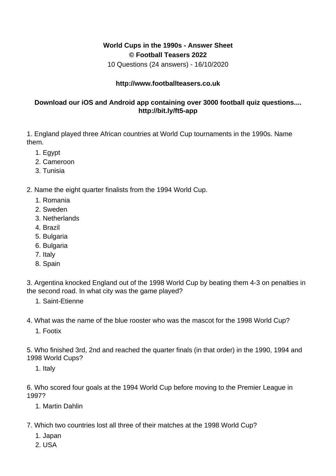## **World Cups in the 1990s - Answer Sheet © Football Teasers 2022**

10 Questions (24 answers) - 16/10/2020

## **http://www.footballteasers.co.uk**

## **Download our iOS and Android app containing over 3000 football quiz questions.... http://bit.ly/ft5-app**

1. England played three African countries at World Cup tournaments in the 1990s. Name them.

- 1. Egypt
- 2. Cameroon
- 3. Tunisia

2. Name the eight quarter finalists from the 1994 World Cup.

- 1. Romania
- 2. Sweden
- 3. Netherlands
- 4. Brazil
- 5. Bulgaria
- 6. Bulgaria
- 7. Italy
- 8. Spain

3. Argentina knocked England out of the 1998 World Cup by beating them 4-3 on penalties in the second road. In what city was the game played?

1. Saint-Etienne

4. What was the name of the blue rooster who was the mascot for the 1998 World Cup?

1. Footix

5. Who finished 3rd, 2nd and reached the quarter finals (in that order) in the 1990, 1994 and 1998 World Cups?

1. Italy

6. Who scored four goals at the 1994 World Cup before moving to the Premier League in 1997?

1. Martin Dahlin

- 7. Which two countries lost all three of their matches at the 1998 World Cup?
	- 1. Japan
	- 2. USA